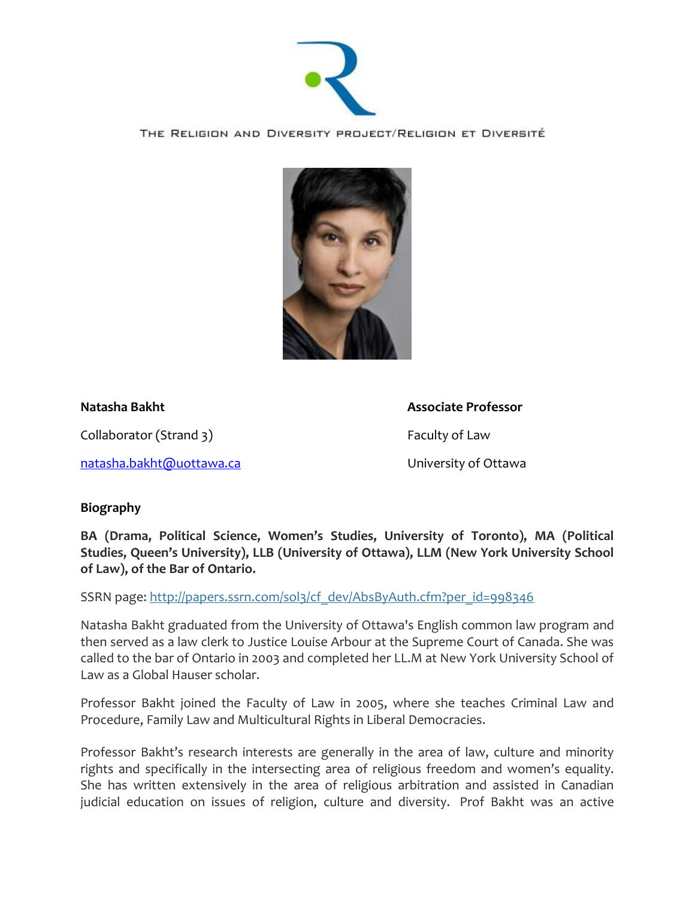

THE RELIGION AND DIVERSITY PROJECT/RELIGION ET DIVERSITÉ



**Natasha Bakht Associate Professor**

Collaborator (Strand 3) Faculty of Law

[natasha.bakht@uottawa.ca](mailto:natasha.bakht@uottawa.ca) University of Ottawa

## **Biography**

**BA (Drama, Political Science, Women's Studies, University of Toronto), MA (Political Studies, Queen's University), LLB (University of Ottawa), LLM (New York University School of Law), of the Bar of Ontario.**

SSRN page: [http://papers.ssrn.com/sol3/cf\\_dev/AbsByAuth.cfm?per\\_id=998346](http://papers.ssrn.com/sol3/cf_dev/AbsByAuth.cfm?per_id=998346)

Natasha Bakht graduated from the University of Ottawa's English common law program and then served as a law clerk to Justice Louise Arbour at the Supreme Court of Canada. She was called to the bar of Ontario in 2003 and completed her LL.M at New York University School of Law as a Global Hauser scholar.

Professor Bakht joined the Faculty of Law in 2005, where she teaches Criminal Law and Procedure, Family Law and Multicultural Rights in Liberal Democracies.

Professor Bakht's research interests are generally in the area of law, culture and minority rights and specifically in the intersecting area of religious freedom and women's equality. She has written extensively in the area of religious arbitration and assisted in Canadian judicial education on issues of religion, culture and diversity. Prof Bakht was an active